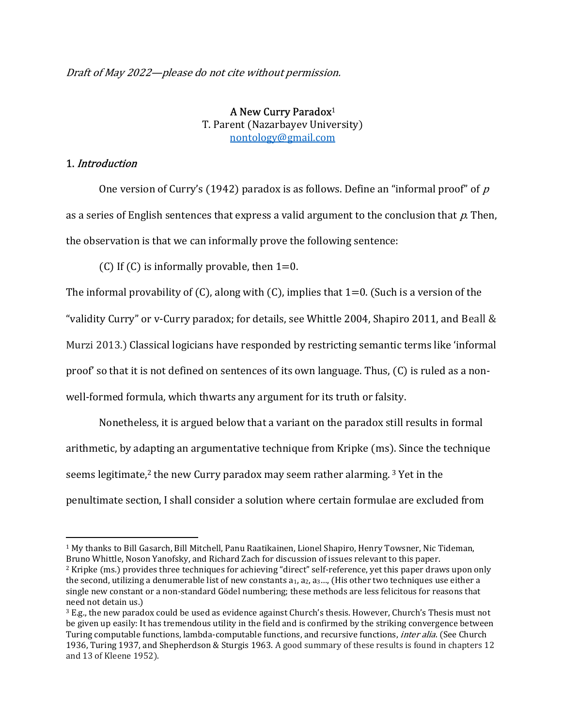Draft of May 2022—please do not cite without permission.

A New Curry Paradox<sup>1</sup> T. Parent (Nazarbayev University) nontology@gmail.com

## 1. Introduction

One version of Curry's (1942) paradox is as follows. Define an "informal proof" of  $p$ as a series of English sentences that express a valid argument to the conclusion that  $p$ . Then, the observation is that we can informally prove the following sentence:

(C) If (C) is informally provable, then  $1=0$ .

The informal provability of  $(C)$ , along with  $(C)$ , implies that  $1=0$ . (Such is a version of the "validity Curry" or v-Curry paradox; for details, see Whittle 2004, Shapiro 2011, and Beall & Murzi 2013.) Classical logicians have responded by restricting semantic terms like 'informal proof' so that it is not defined on sentences of its own language. Thus, (C) is ruled as a nonwell-formed formula, which thwarts any argument for its truth or falsity.

Nonetheless, it is argued below that a variant on the paradox still results in formal arithmetic, by adapting an argumentative technique from Kripke (ms). Since the technique seems legitimate,<sup>2</sup> the new Curry paradox may seem rather alarming.  $3$  Yet in the penultimate section, I shall consider a solution where certain formulae are excluded from

<sup>1</sup> My thanks to Bill Gasarch, Bill Mitchell, Panu Raatikainen, Lionel Shapiro, Henry Towsner, Nic Tideman, Bruno Whittle, Noson Yanofsky, and Richard Zach for discussion of issues relevant to this paper. <sup>2</sup> Kripke (ms.) provides three techniques for achieving "direct" self-reference, yet this paper draws upon only the second, utilizing a denumerable list of new constants a<sub>1</sub>, a<sub>2</sub>, a<sub>3…</sub>, (His other two techniques use either a

single new constant or a non-standard Gödel numbering; these methods are less felicitous for reasons that need not detain us.)

<sup>3</sup> E.g., the new paradox could be used as evidence against Church's thesis. However, Church's Thesis must not be given up easily: It has tremendous utility in the field and is confirmed by the striking convergence between Turing computable functions, lambda-computable functions, and recursive functions, *inter alia*. (See Church 1936, Turing 1937, and Shepherdson & Sturgis 1963. A good summary of these results is found in chapters 12 and 13 of Kleene 1952).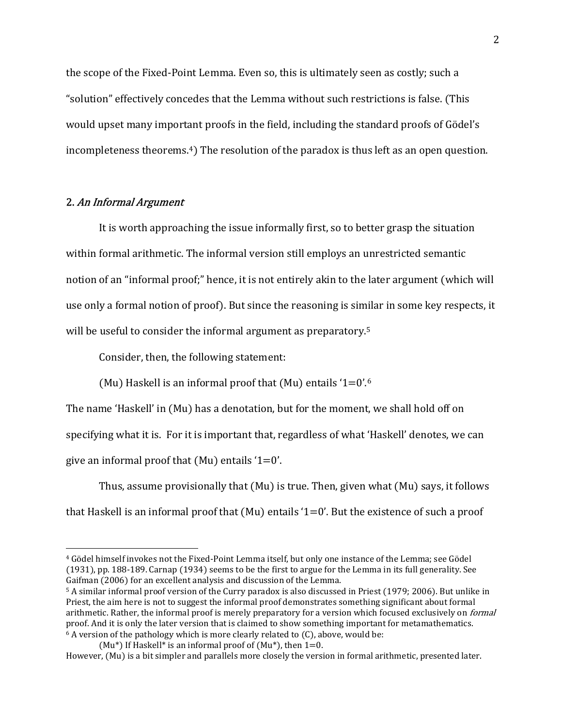the scope of the Fixed-Point Lemma. Even so, this is ultimately seen as costly; such a "solution" effectively concedes that the Lemma without such restrictions is false. (This would upset many important proofs in the field, including the standard proofs of Gödel's incompleteness theorems.<sup>4</sup>) The resolution of the paradox is thus left as an open question.

## 2. An Informal Argument

 It is worth approaching the issue informally first, so to better grasp the situation within formal arithmetic. The informal version still employs an unrestricted semantic notion of an "informal proof;" hence, it is not entirely akin to the later argument (which will use only a formal notion of proof). But since the reasoning is similar in some key respects, it will be useful to consider the informal argument as preparatory.<sup>5</sup>

Consider, then, the following statement:

(Mu) Haskell is an informal proof that (Mu) entails '1=0'.<sup>6</sup>

The name 'Haskell' in (Mu) has a denotation, but for the moment, we shall hold off on specifying what it is. For it is important that, regardless of what 'Haskell' denotes, we can give an informal proof that  $(Mu)$  entails  $1=0'$ .

Thus, assume provisionally that (Mu) is true. Then, given what (Mu) says, it follows that Haskell is an informal proof that  $(Mu)$  entails '1=0'. But the existence of such a proof

<sup>4</sup> Gödel himself invokes not the Fixed-Point Lemma itself, but only one instance of the Lemma; see Gödel (1931), pp. 188-189. Carnap (1934) seems to be the first to argue for the Lemma in its full generality. See Gaifman (2006) for an excellent analysis and discussion of the Lemma.

<sup>5</sup> A similar informal proof version of the Curry paradox is also discussed in Priest (1979; 2006). But unlike in Priest, the aim here is not to suggest the informal proof demonstrates something significant about formal arithmetic. Rather, the informal proof is merely preparatory for a version which focused exclusively on *formal* proof. And it is only the later version that is claimed to show something important for metamathematics.  $6$  A version of the pathology which is more clearly related to  $(C)$ , above, would be:

<sup>(</sup>Mu<sup>\*</sup>) If Haskell<sup>\*</sup> is an informal proof of (Mu<sup>\*</sup>), then  $1=0$ .

However, (Mu) is a bit simpler and parallels more closely the version in formal arithmetic, presented later.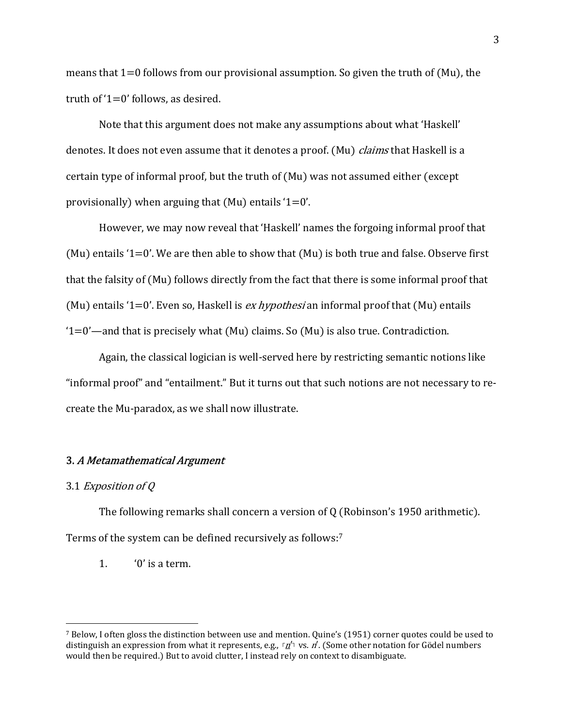means that  $1=0$  follows from our provisional assumption. So given the truth of (Mu), the truth of '1=0' follows, as desired.

Note that this argument does not make any assumptions about what 'Haskell' denotes. It does not even assume that it denotes a proof. (Mu) claims that Haskell is a certain type of informal proof, but the truth of (Mu) was not assumed either (except provisionally) when arguing that (Mu) entails  $1=0'$ .

 However, we may now reveal that 'Haskell' names the forgoing informal proof that (Mu) entails  $1=0'$ . We are then able to show that (Mu) is both true and false. Observe first that the falsity of (Mu) follows directly from the fact that there is some informal proof that (Mu) entails '1=0'. Even so, Haskell is *ex hypothesi* an informal proof that (Mu) entails '1=0'—and that is precisely what (Mu) claims. So (Mu) is also true. Contradiction.

 Again, the classical logician is well-served here by restricting semantic notions like "informal proof" and "entailment." But it turns out that such notions are not necessary to recreate the Mu-paradox, as we shall now illustrate.

#### 3. A Metamathematical Argument

## 3.1 Exposition of Q

The following remarks shall concern a version of Q (Robinson's 1950 arithmetic). Terms of the system can be defined recursively as follows:<sup>7</sup>

1. '0' is a term.

<sup>7</sup> Below, I often gloss the distinction between use and mention. Quine's (1951) corner quotes could be used to distinguish an expression from what it represents, e.g.,  $\frac{r}{\Delta}$  vs. n'. (Some other notation for Gödel numbers would then be required.) But to avoid clutter, I instead rely on context to disambiguate.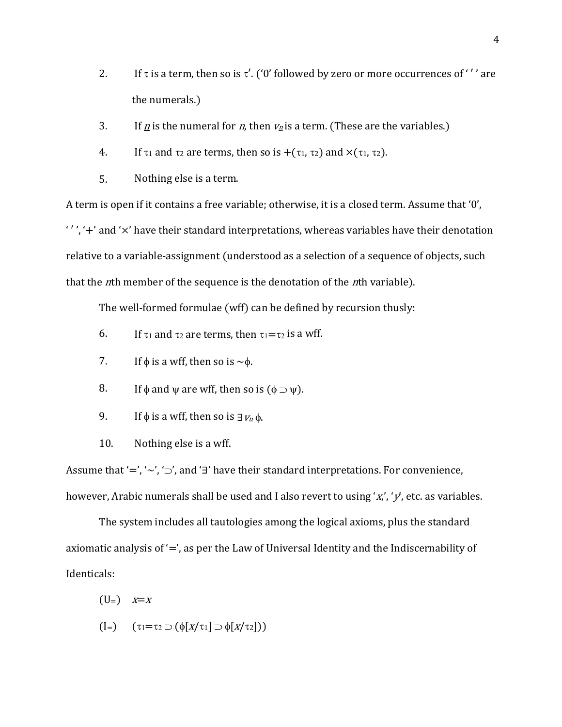- 2. If  $\tau$  is a term, then so is  $\tau'$ . ('0' followed by zero or more occurrences of ''' are the numerals.)
- 3. If <u>n</u> is the numeral for n, then  $v_n$  is a term. (These are the variables.)
- 4. If  $\tau_1$  and  $\tau_2$  are terms, then so is  $+(\tau_1, \tau_2)$  and  $\times(\tau_1, \tau_2)$ .
- 5. Nothing else is a term.

A term is open if it contains a free variable; otherwise, it is a closed term. Assume that '0',  $'$ ,  $'$  and  $'$  are their standard interpretations, whereas variables have their denotation relative to a variable-assignment (understood as a selection of a sequence of objects, such that the *n*th member of the sequence is the denotation of the *n*th variable).

The well-formed formulae (wff) can be defined by recursion thusly:

- 6. If  $\tau_1$  and  $\tau_2$  are terms, then  $\tau_1 = \tau_2$  is a wff.
- 7. If  $\phi$  is a wff, then so is  $\sim \phi$ .
- 8. If  $\phi$  and  $\psi$  are wff, then so is  $(\phi \supset \psi)$ .
- 9. If  $\phi$  is a wff, then so is  $\exists v_n \phi$ .
- 10. Nothing else is a wff.

Assume that '=', ' $\sim'$ , ' $\supset'$ ', and '∃' have their standard interpretations. For convenience, however, Arabic numerals shall be used and I also revert to using 'x', 'y', etc. as variables.

 The system includes all tautologies among the logical axioms, plus the standard axiomatic analysis of  $\prime =$ , as per the Law of Universal Identity and the Indiscernability of Identicals:

- $(U=)$   $X=X$
- $(I=)$   $(\tau_1 = \tau_2 \supset (\phi[x/\tau_1] \supset \phi[x/\tau_2]))$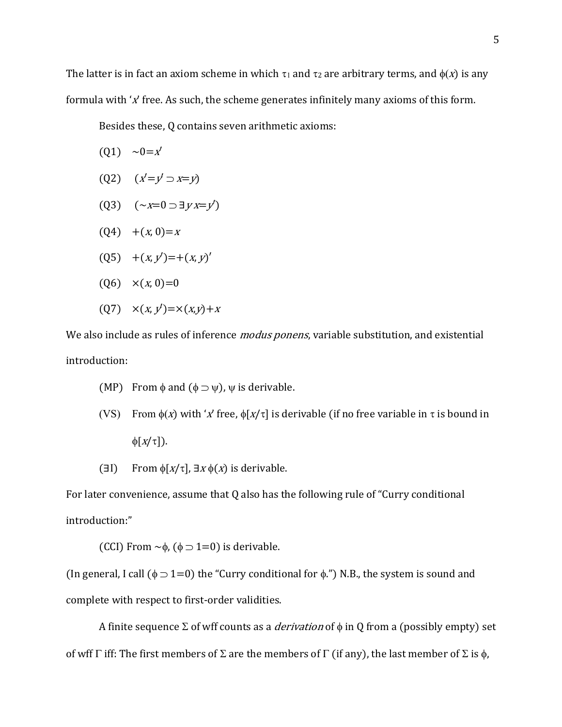The latter is in fact an axiom scheme in which  $\tau_1$  and  $\tau_2$  are arbitrary terms, and  $\phi(x)$  is any formula with ' $x$ ' free. As such, the scheme generates infinitely many axioms of this form.

Besides these, Q contains seven arithmetic axioms:

- $(01) \sim 0=x'$
- (Q2)  $(x'=y' \supset x=y)$
- (Q3)  $({\sim}x=0 \supset \exists y \, x=y')$
- $(Q4)$  +(x, 0)=x
- $(Q5)$  +(x, y')=+(x, y')'
- $(Q6) \quad x(x, 0)=0$
- $(Q7) \; \; \; \times (x, y') = \; \times (x, y) + x$

We also include as rules of inference *modus ponens*, variable substitution, and existential introduction:

- (MP) From  $\phi$  and  $(\phi \supset \psi)$ ,  $\psi$  is derivable.
- (VS) From  $\phi(x)$  with 'x' free,  $\phi[x/\tau]$  is derivable (if no free variable in  $\tau$  is bound in  $\phi[x/\tau]$ ).
- ( $\exists I$ ) From  $\phi[x/\tau]$ ,  $\exists x \phi(x)$  is derivable.

For later convenience, assume that Q also has the following rule of "Curry conditional introduction:"

(CCI) From  $\sim \phi$ , ( $\phi \supset 1=0$ ) is derivable.

(In general, I call ( $\phi$   $\supset$  1=0) the "Curry conditional for  $\phi$ .") N.B., the system is sound and complete with respect to first-order validities.

A finite sequence  $\Sigma$  of wff counts as a *derivation* of  $\phi$  in Q from a (possibly empty) set of wff  $\Gamma$  iff: The first members of  $\Sigma$  are the members of  $\Gamma$  (if any), the last member of  $\Sigma$  is  $\phi$ ,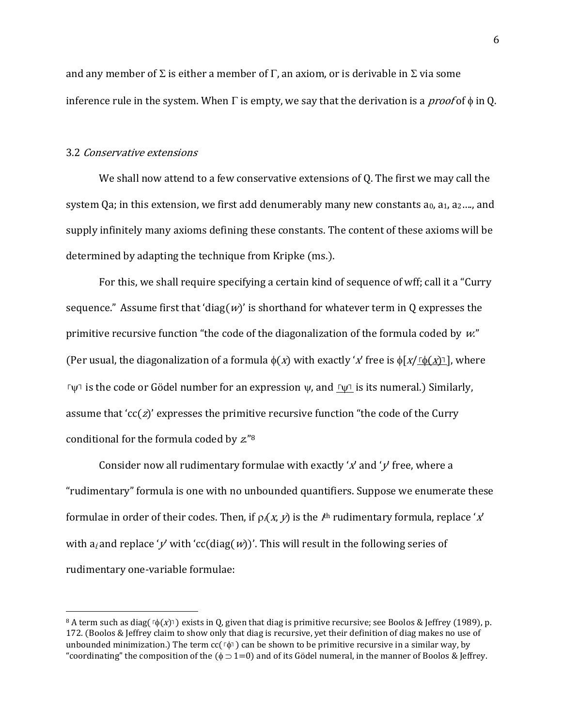and any member of  $\Sigma$  is either a member of  $\Gamma$ , an axiom, or is derivable in  $\Sigma$  via some inference rule in the system. When  $\Gamma$  is empty, we say that the derivation is a *proof* of  $\phi$  in Q.

#### 3.2 Conservative extensions

We shall now attend to a few conservative extensions of Q. The first we may call the system Qa; in this extension, we first add denumerably many new constants  $a_0$ ,  $a_1$ ,  $a_2$ ...., and supply infinitely many axioms defining these constants. The content of these axioms will be determined by adapting the technique from Kripke (ms.).

For this, we shall require specifying a certain kind of sequence of wff; call it a "Curry sequence." Assume first that 'diag( $w$ )' is shorthand for whatever term in Q expresses the primitive recursive function "the code of the diagonalization of the formula coded by  $w$ ." (Per usual, the diagonalization of a formula  $\phi(x)$  with exactly 'x' free is  $\phi[x/\phi(x)]$ , where **ר** $\mu$  is the code or Gödel number for an expression  $\psi$ , and  $\mu$  is its numeral.) Similarly, assume that 'cc( $z$ )' expresses the primitive recursive function "the code of the Curry conditional for the formula coded by z."<sup>8</sup>

Consider now all rudimentary formulae with exactly 'x' and ' $y'$  free, where a "rudimentary" formula is one with no unbounded quantifiers. Suppose we enumerate these formulae in order of their codes. Then, if  $\rho_i(x, y)$  is the  $i^{\text{th}}$  rudimentary formula, replace 'x' with  $a_i$  and replace 'y' with 'cc(diag(w))'. This will result in the following series of rudimentary one-variable formulae:

<sup>8</sup> A term such as diag( $\lceil \phi(x) \rceil$ ) exists in Q, given that diag is primitive recursive; see Boolos & Jeffrey (1989), p. 172. (Boolos & Jeffrey claim to show only that diag is recursive, yet their definition of diag makes no use of unbounded minimization.) The term cc( $\lceil \phi \rceil$ ) can be shown to be primitive recursive in a similar way, by "coordinating" the composition of the  $(\phi \supset 1=0)$  and of its Gödel numeral, in the manner of Boolos & Jeffrey.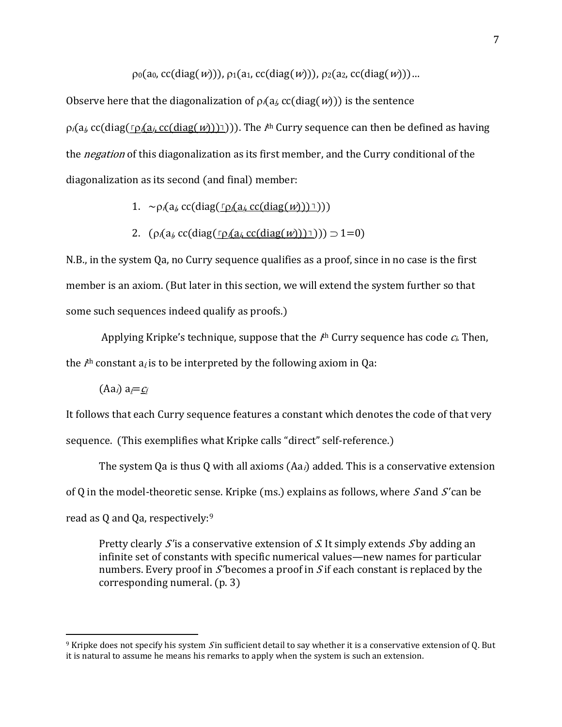$p_0(a_0, c c(diag(w))), p_1(a_1, c c(diag(w))), p_2(a_2, c c(diag(w))).$ 

Observe here that the diagonalization of  $\rho_i(a_i, cc(\text{diag}(w)))$  is the sentence

p<sub>i</sub>(a<sub>i</sub>, cc(diag(<u>「p<sub>i</sub>(a<sub>i</sub>, cc(diag(w)))</u>1))). The *i*<sup>th</sup> Curry sequence can then be defined as having the *negation* of this diagonalization as its first member, and the Curry conditional of the diagonalization as its second (and final) member:

- 1.  $\sim \rho_i(a_i \, \text{cc}(diag(\rho_i(a_i \, \text{cc}(diag(w))))))$ )
- 2.  $(\rho_i(a_i \text{ cc}(diag(\Gamma \rho_i(a_i \text{ cc}(diag(w)))) \supset 1=0))$

N.B., in the system Qa, no Curry sequence qualifies as a proof, since in no case is the first member is an axiom. (But later in this section, we will extend the system further so that some such sequences indeed qualify as proofs.)

Applying Kripke's technique, suppose that the  $I^{\text{th}}$  Curry sequence has code  $c_i$  Then, the  $I^{\text{th}}$  constant  $a_{I}$  is to be interpreted by the following axiom in Qa:

 $(Aa_i) a_i = c_i$ 

It follows that each Curry sequence features a constant which denotes the code of that very sequence. (This exemplifies what Kripke calls "direct" self-reference.)

The system Qa is thus Q with all axioms  $(Aa_i)$  added. This is a conservative extension of Q in the model-theoretic sense. Kripke (ms.) explains as follows, where  $S$  and  $S'$  can be read as Q and Qa, respectively:<sup>9</sup>

Pretty clearly S' is a conservative extension of S. It simply extends S by adding an infinite set of constants with specific numerical values—new names for particular numbers. Every proof in  $S<sup>'</sup>$  becomes a proof in  $S<sup>'</sup>$  feach constant is replaced by the corresponding numeral. (p. 3)

<sup>&</sup>lt;sup>9</sup> Kripke does not specify his system S in sufficient detail to say whether it is a conservative extension of 0. But it is natural to assume he means his remarks to apply when the system is such an extension.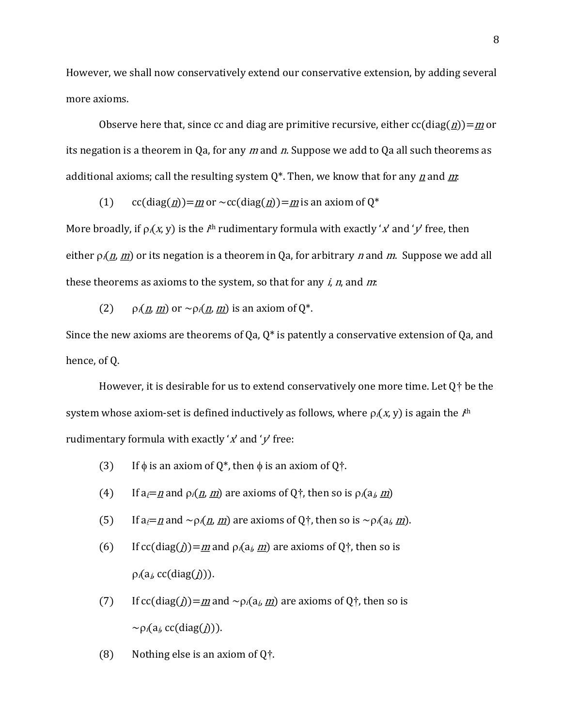However, we shall now conservatively extend our conservative extension, by adding several more axioms.

Observe here that, since cc and diag are primitive recursive, either  $cc(diag(\underline{n}))=m$  or its negation is a theorem in Qa, for any  $m$  and  $n$ . Suppose we add to Qa all such theorems as additional axioms; call the resulting system  $Q^*$ . Then, we know that for any <u>n</u> and m.

(1) cc(diag( $\underline{n}$ ) =  $\underline{m}$  or ~cc(diag( $\underline{n}$ )) =  $\underline{m}$  is an axiom of Q<sup>\*</sup>

More broadly, if  $\rho_i(x, y)$  is the  $I^{\text{th}}$  rudimentary formula with exactly 'x' and 'y' free, then either  $\rho_i(n, m)$  or its negation is a theorem in Qa, for arbitrary n and m. Suppose we add all these theorems as axioms to the system, so that for any  $i$ ,  $n$ , and  $m$ :

(2)  $\rho_i(n, m)$  or  $\sim \rho_i(n, m)$  is an axiom of  $0^*$ .

Since the new axioms are theorems of Qa,  $Q^*$  is patently a conservative extension of Qa, and hence, of Q.

However, it is desirable for us to extend conservatively one more time. Let  $Q<sup>+</sup>$  be the system whose axiom-set is defined inductively as follows, where  $\rho_i(x, y)$  is again the  $I^{\text{th}}$ rudimentary formula with exactly ' $x'$  and ' $y'$  free:

- (3) If  $\phi$  is an axiom of Q<sup>\*</sup>, then  $\phi$  is an axiom of Q<sup>+</sup>.
- (4) If  $a_i = n$  and  $\rho_i(n, m)$  are axioms of Q<sup>+</sup>, then so is  $\rho_i(a_i, m)$
- (5) If  $a_i = n$  and  $\sim p_i(n, m)$  are axioms of Q<sup>+</sup>, then so is  $\sim p_i(a_i, m)$ .
- (6) If  $cc(diag(j))=m$  and  $p_i(a_j, m)$  are axioms of Q $\dagger$ , then so is  $\rho_i(a_i, c c(diag(j))).$
- (7) If  $cc(diag(j))=m$  and  $\sim \rho_i(a_i, m)$  are axioms of Q $\dagger$ , then so is  $\sim \rho_i(a_i, \text{cc}(diag(j))).$
- (8) Nothing else is an axiom of  $Q^{\dagger}$ .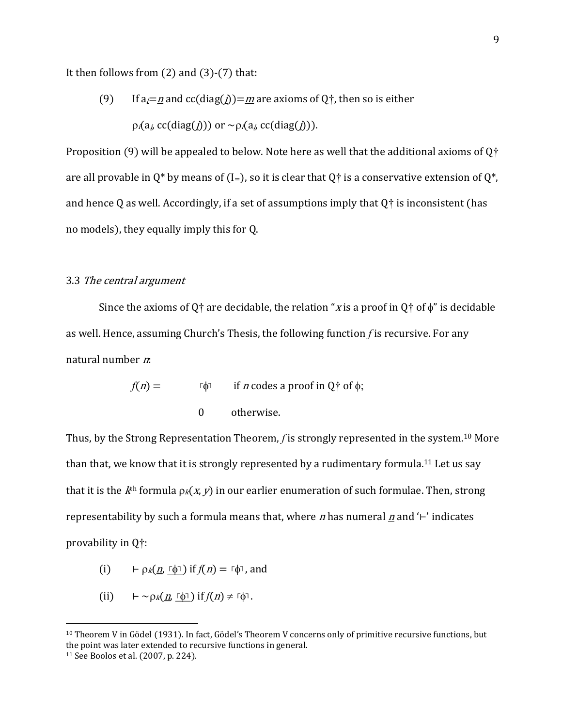It then follows from  $(2)$  and  $(3)-(7)$  that:

(9) If  $a_i = n$  and  $cc(diag(i)) = m$  are axioms of Q<sup>†</sup>, then so is either  $\rho_i(a_i \text{ cc}(diag(j)))$  or  $\sim \rho_i(a_i \text{ cc}(diag(j))).$ 

Proposition (9) will be appealed to below. Note here as well that the additional axioms of Q $\dagger$ are all provable in  $Q^*$  by means of (I=), so it is clear that  $Q^*$  is a conservative extension of  $Q^*$ , and hence Q as well. Accordingly, if a set of assumptions imply that Q† is inconsistent (has no models), they equally imply this for Q.

### 3.3 The central argument

Since the axioms of Q<sup>+</sup> are decidable, the relation "x is a proof in Q<sup>+</sup> of  $\phi$ " is decidable as well. Hence, assuming Church's Thesis, the following function  $f$  is recursive. For any natural number n:

$$
f(n) = \qquad \text{if } n \text{ codes a proof in } Q^+ \text{ of } \phi;
$$
  
0 otherwise.

Thus, by the Strong Representation Theorem, f is strongly represented in the system.<sup>10</sup> More than that, we know that it is strongly represented by a rudimentary formula.11 Let us say that it is the  $k<sup>th</sup>$  formula  $p_k(x, y)$  in our earlier enumeration of such formulae. Then, strong representability by such a formula means that, where *n* has numeral  $\underline{n}$  and '⊢' indicates provability in Q†:

- (i)  $\vdash \rho_k(\underline{n}, \lceil \phi \rceil)$  if  $f(n) = \lceil \phi \rceil$ , and
- (ii)  $\vdash \sim_{\mathcal{D}_{k}}(n, \lceil \phi \rceil)$  if  $f(n) \neq \lceil \phi \rceil$ .

 $10$  Theorem V in Gödel (1931). In fact, Gödel's Theorem V concerns only of primitive recursive functions, but the point was later extended to recursive functions in general.

<sup>11</sup> See Boolos et al. (2007, p. 224).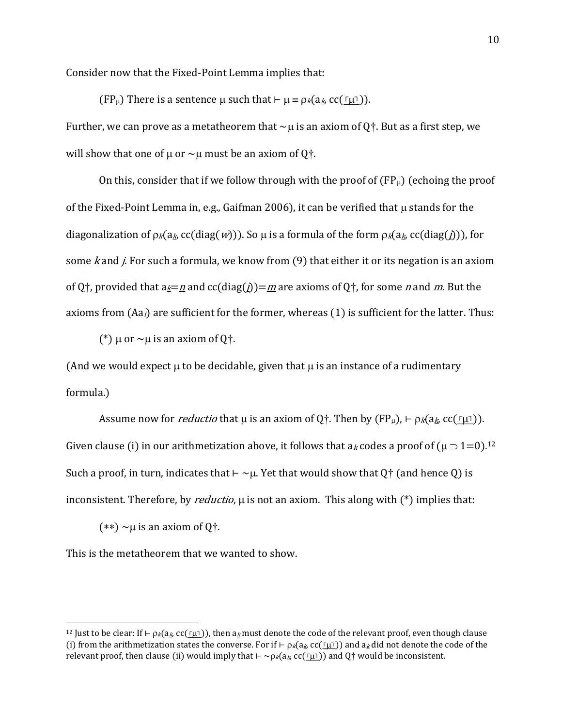Consider now that the Fixed-Point Lemma implies that:

(FP $\mu$ ) There is a sentence  $\mu$  such that  $\vdash \mu \equiv \rho_k(a_k, cc(\underline{\ulcorner \mu \urcorner})$ ). Further, we can prove as a metatheorem that  $\sim \mu$  is an axiom of Q†. But as a first step, we will show that one of  $\mu$  or  $\sim \mu$  must be an axiom of Q $\dagger$ .

On this, consider that if we follow through with the proof of  $(FP_\mu)$  (echoing the proof of the Fixed-Point Lemma in, e.g., Gaifman 2006), it can be verified that  $\mu$  stands for the diagonalization of  $p_k(a_k, cc(diag(w)))$ . So  $\mu$  is a formula of the form  $p_k(a_k, cc(diag(j)))$ , for some  $k$  and  $j$ . For such a formula, we know from  $(9)$  that either it or its negation is an axiom of Q<sup>+</sup>, provided that a<sub>k</sub>=n and cc(diag(j))=m are axioms of Q<sup>+</sup>, for some n and m. But the axioms from  $(Aa_i)$  are sufficient for the former, whereas  $(1)$  is sufficient for the latter. Thus:

(\*)  $\mu$  or  $\sim \mu$  is an axiom of Q†.

(And we would expect  $\mu$  to be decidable, given that  $\mu$  is an instance of a rudimentary formula.)

Assume now for *reductio* that  $\mu$  is an axiom of Q†. Then by (FP $\mu$ ), ⊢  $\beta$ <sub>k</sub>(a<sub>k</sub>, cc(  $\lceil \mu \rceil$ )). Given clause (i) in our arithmetization above, it follows that a<sub>k</sub> codes a proof of  $(\mu \supset 1=0).^{12}$ Such a proof, in turn, indicates that  $\vdash \sim \mu$ . Yet that would show that Q $\dagger$  (and hence Q) is inconsistent. Therefore, by *reductio*,  $\mu$  is not an axiom. This along with  $(*)$  implies that:

 $(**) \sim \mu$  is an axiom of Q<sup>†</sup>.

This is the metatheorem that we wanted to show.

<sup>&</sup>lt;sup>12</sup> Just to be clear: If ⊢  $\beta$ <sub>k</sub>(a<sub>k</sub>, cc( $\Gamma$ <sub>L</sub>T)), then a<sub>k</sub> must denote the code of the relevant proof, even though clause (i) from the arithmetization states the converse. For if ⊢  $\beta_k(a_k, cc(\tau\mu\tau))$  and  $a_k$  did not denote the code of the relevant proof, then clause (ii) would imply that  $\vdash \sim p_k(a_k, cc(\underline{r_1\cdot})$  and Q† would be inconsistent.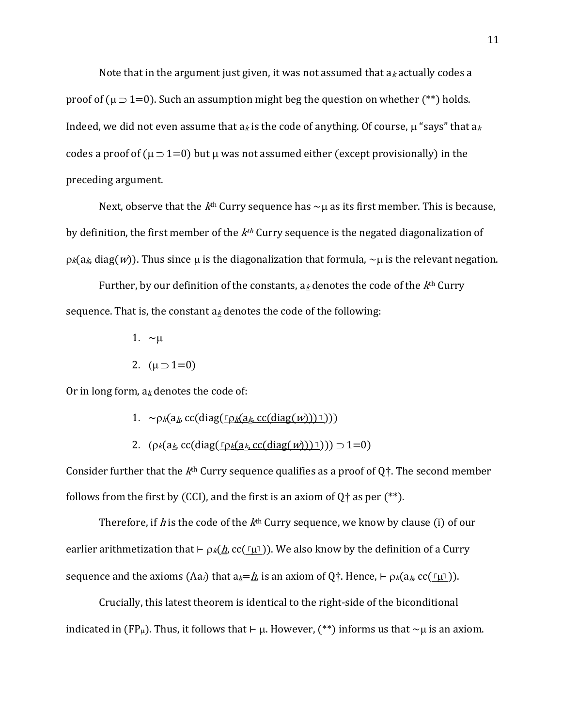Note that in the argument just given, it was not assumed that  $a_k$  actually codes a proof of ( $\mu$   $\supset$  1=0). Such an assumption might beg the question on whether (\*\*) holds. Indeed, we did not even assume that  $a_k$  is the code of anything. Of course,  $\mu$  "says" that  $a_k$ codes a proof of ( $\mu$   $\supset$  1=0) but  $\mu$  was not assumed either (except provisionally) in the preceding argument.

Next, observe that the  $k<sup>th</sup>$  Curry sequence has  $\sim \mu$  as its first member. This is because, by definition, the first member of the  $k<sup>th</sup>$  Curry sequence is the negated diagonalization of  $p_k(a_k, da_k)$ . Thus since u is the diagonalization that formula,  $\sim \mu$  is the relevant negation.

Further, by our definition of the constants,  $a_k$  denotes the code of the  $k<sup>th</sup>$  Curry sequence. That is, the constant  $a_k$  denotes the code of the following:

- 1.  $\sim \mu$
- 2.  $(\mu \supset 1=0)$

Or in long form,  $a_k$  denotes the code of:

- 1.  $\sim \rho_k(a_k, c c(\text{diag}(\rho_k(a_k, c c(\text{diag}(w))))))$
- 2.  $(\rho_k(a_k, cc(\text{diag}(\rho_k(a_k, cc(\text{diag}(w)))) \supset 1=0))$

Consider further that the  $k<sup>th</sup>$  Curry sequence qualifies as a proof of  $0<sup>+</sup>$ . The second member follows from the first by (CCI), and the first is an axiom of Q $\dagger$  as per (\*\*).

Therefore, if h is the code of the  $k<sup>th</sup>$  Curry sequence, we know by clause (i) of our earlier arithmetization that ⊢  $\rho$ <sub>k</sub>( $\underline{h}$ , cc( $\Gamma$ µ $\Gamma$ )). We also know by the definition of a Curry sequence and the axioms  $(Aa_i)$  that  $a_k=h$ , is an axiom of Q†. Hence,  $\vdash \rho_k(a_k, cc(\ulcorner\mu\urcorner)).$ 

 Crucially, this latest theorem is identical to the right-side of the biconditional indicated in (FP<sub>μ</sub>). Thus, it follows that ⊢ μ. However, (\*\*) informs us that ~μ is an axiom.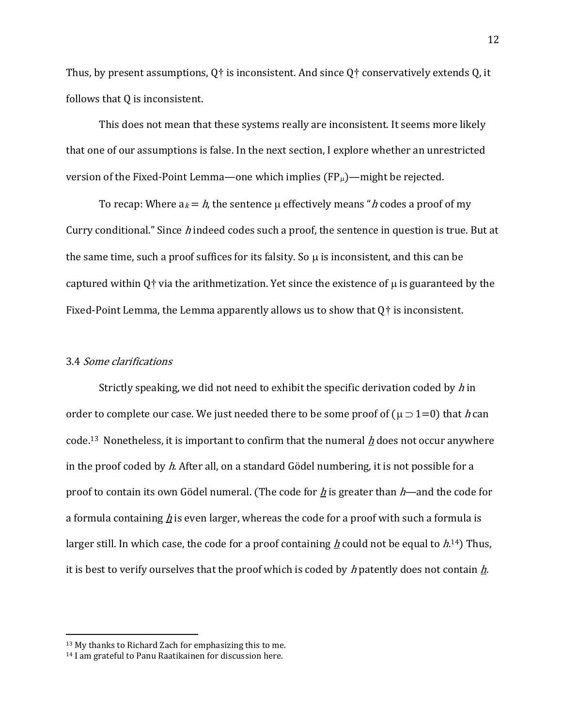Thus, by present assumptions,  $Q^{\dagger}$  is inconsistent. And since  $Q^{\dagger}$  conservatively extends Q, it follows that Q is inconsistent.

 This does not mean that these systems really are inconsistent. It seems more likely that one of our assumptions is false. In the next section, I explore whether an unrestricted version of the Fixed-Point Lemma—one which implies  $(FP_\mu)$ —might be rejected.

To recap: Where  $a_k = h$ , the sentence  $\mu$  effectively means "h codes a proof of my Curry conditional." Since  $h$  indeed codes such a proof, the sentence in question is true. But at the same time, such a proof suffices for its falsity. So  $\mu$  is inconsistent, and this can be captured within  $0<sup>+</sup>$  via the arithmetization. Yet since the existence of  $\mu$  is guaranteed by the Fixed-Point Lemma, the Lemma apparently allows us to show that  $Q^+$  is inconsistent.

#### 3.4 Some clarifications

Strictly speaking, we did not need to exhibit the specific derivation coded by  $h$  in order to complete our case. We just needed there to be some proof of ( $\mu$   $\supset$  1=0) that h can code.<sup>13</sup> Nonetheless, it is important to confirm that the numeral  $h$  does not occur anywhere in the proof coded by h. After all, on a standard Gödel numbering, it is not possible for a proof to contain its own Gödel numeral. (The code for  $\underline{h}$  is greater than  $h$ —and the code for a formula containing  $h$  is even larger, whereas the code for a proof with such a formula is larger still. In which case, the code for a proof containing <u>h</u> could not be equal to  $h^{14}$ ) Thus, it is best to verify ourselves that the proof which is coded by h patently does not contain  $\underline{h}$ .

<sup>13</sup> My thanks to Richard Zach for emphasizing this to me.

<sup>14</sup> I am grateful to Panu Raatikainen for discussion here.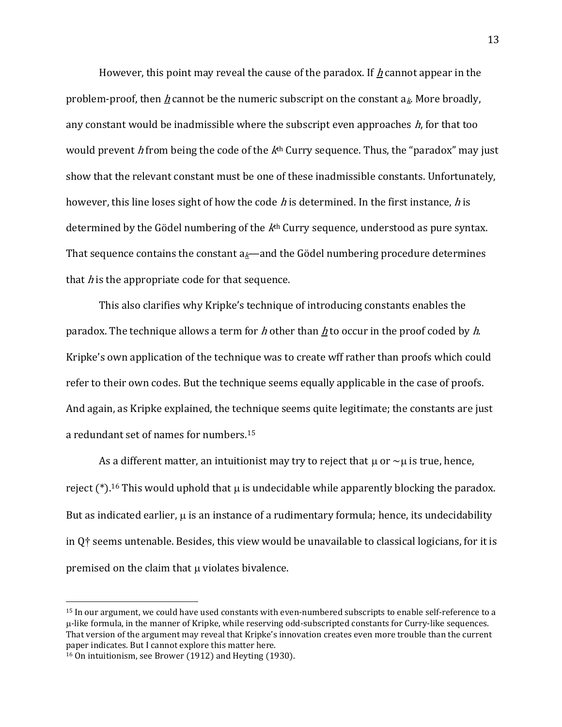However, this point may reveal the cause of the paradox. If h cannot appear in the problem-proof, then h cannot be the numeric subscript on the constant  $a_k$ . More broadly, any constant would be inadmissible where the subscript even approaches  $h$ , for that too would prevent h from being the code of the  $k<sup>th</sup>$  Curry sequence. Thus, the "paradox" may just show that the relevant constant must be one of these inadmissible constants. Unfortunately, however, this line loses sight of how the code  $h$  is determined. In the first instance,  $h$  is determined by the Gödel numbering of the  $k<sup>th</sup>$  Curry sequence, understood as pure syntax. That sequence contains the constant  $a_k$ —and the Gödel numbering procedure determines that  $h$  is the appropriate code for that sequence.

This also clarifies why Kripke's technique of introducing constants enables the paradox. The technique allows a term for h other than h to occur in the proof coded by h. Kripke's own application of the technique was to create wff rather than proofs which could refer to their own codes. But the technique seems equally applicable in the case of proofs. And again, as Kripke explained, the technique seems quite legitimate; the constants are just a redundant set of names for numbers.<sup>15</sup>

As a different matter, an intuitionist may try to reject that  $\mu$  or  $\sim \mu$  is true, hence, reject  $(*)$ .<sup>16</sup> This would uphold that  $\mu$  is undecidable while apparently blocking the paradox. But as indicated earlier,  $\mu$  is an instance of a rudimentary formula; hence, its undecidability in Q† seems untenable. Besides, this view would be unavailable to classical logicians, for it is premised on the claim that  $\mu$  violates bivalence.

<sup>15</sup> In our argument, we could have used constants with even-numbered subscripts to enable self-reference to a -like formula, in the manner of Kripke, while reserving odd-subscripted constants for Curry-like sequences. That version of the argument may reveal that Kripke's innovation creates even more trouble than the current paper indicates. But I cannot explore this matter here.

<sup>16</sup> On intuitionism, see Brower (1912) and Heyting (1930).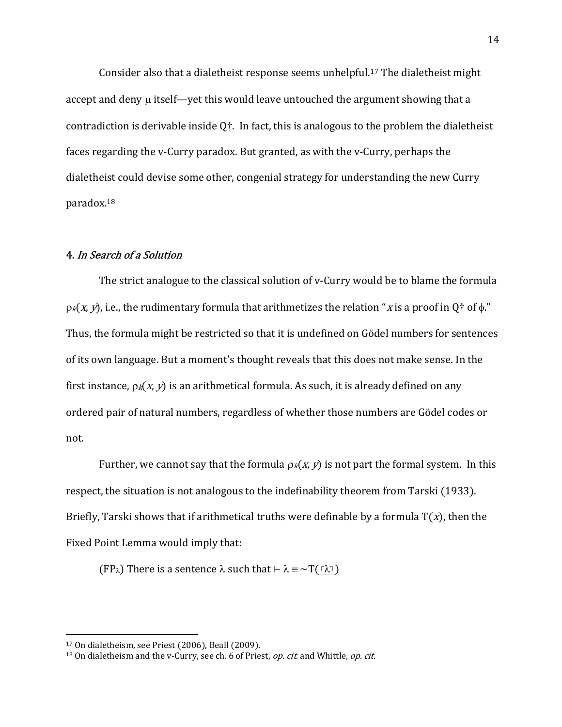Consider also that a dialetheist response seems unhelpful.17 The dialetheist might accept and deny  $\mu$  itself—yet this would leave untouched the argument showing that a contradiction is derivable inside  $Q^{\dagger}$ . In fact, this is analogous to the problem the dialetheist faces regarding the v-Curry paradox. But granted, as with the v-Curry, perhaps the dialetheist could devise some other, congenial strategy for understanding the new Curry paradox.<sup>18</sup>

## 4. In Search of a Solution

The strict analogue to the classical solution of v-Curry would be to blame the formula  $p_k(x, y)$ , i.e., the rudimentary formula that arithmetizes the relation "x is a proof in Q<sup>+</sup> of  $\phi$ ." Thus, the formula might be restricted so that it is undefined on Gödel numbers for sentences of its own language. But a moment's thought reveals that this does not make sense. In the first instance,  $p_k(x, y)$  is an arithmetical formula. As such, it is already defined on any ordered pair of natural numbers, regardless of whether those numbers are Gödel codes or not.

Further, we cannot say that the formula  $p_k(x, y)$  is not part the formal system. In this respect, the situation is not analogous to the indefinability theorem from Tarski (1933). Briefly, Tarski shows that if arithmetical truths were definable by a formula  $T(x)$ , then the Fixed Point Lemma would imply that:

(FP $_{\lambda}$ ) There is a sentence  $\lambda$  such that ⊢  $\lambda \equiv \sim T(\sqrt{\lambda} \lambda)$ 

<sup>17</sup> On dialetheism, see Priest (2006), Beall (2009).

 $18$  On dialetheism and the v-Curry, see ch. 6 of Priest, *op. cit.* and Whittle, *op. cit.*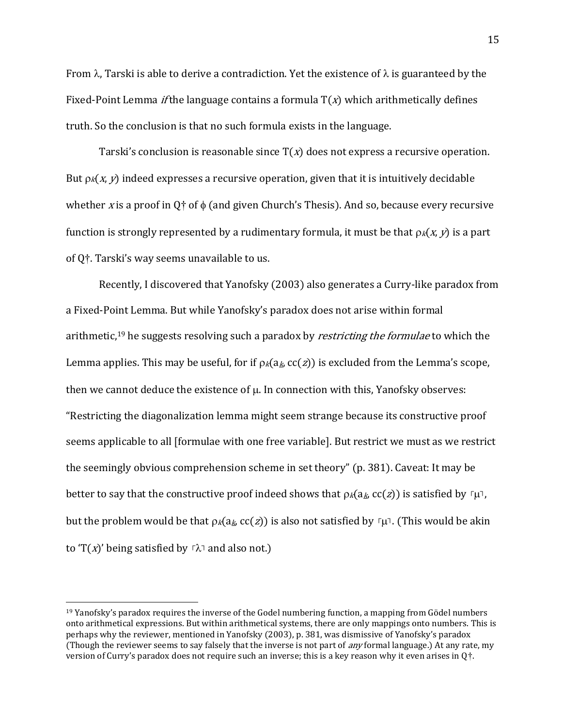From  $\lambda$ , Tarski is able to derive a contradiction. Yet the existence of  $\lambda$  is guaranteed by the Fixed-Point Lemma *if* the language contains a formula  $T(x)$  which arithmetically defines truth. So the conclusion is that no such formula exists in the language.

Tarski's conclusion is reasonable since  $T(x)$  does not express a recursive operation. But  $p_k(x, y)$  indeed expresses a recursive operation, given that it is intuitively decidable whether x is a proof in Q<sup> $\dagger$ </sup> of  $\phi$  (and given Church's Thesis). And so, because every recursive function is strongly represented by a rudimentary formula, it must be that  $\rho_k(x, y)$  is a part of Q†. Tarski's way seems unavailable to us.

Recently, I discovered that Yanofsky (2003) also generates a Curry-like paradox from a Fixed-Point Lemma. But while Yanofsky's paradox does not arise within formal arithmetic,<sup>19</sup> he suggests resolving such a paradox by *restricting the formulae* to which the Lemma applies. This may be useful, for if  $\rho_k(a_k, cc(z))$  is excluded from the Lemma's scope, then we cannot deduce the existence of  $\mu$ . In connection with this, Yanofsky observes: "Restricting the diagonalization lemma might seem strange because its constructive proof seems applicable to all [formulae with one free variable]. But restrict we must as we restrict the seemingly obvious comprehension scheme in set theory" (p. 381). Caveat: It may be better to say that the constructive proof indeed shows that  $\rho_k(a_k, cc(z))$  is satisfied by  $\Gamma\mu\Gamma$ , but the problem would be that  $p_k(a_k, cc(z))$  is also not satisfied by  $\lceil \mu \rceil$ . (This would be akin to 'T(x)' being satisfied by  $\lceil \lambda \rceil$  and also not.)

 $19$  Yanofsky's paradox requires the inverse of the Godel numbering function, a mapping from Gödel numbers onto arithmetical expressions. But within arithmetical systems, there are only mappings onto numbers. This is perhaps why the reviewer, mentioned in Yanofsky (2003), p. 381, was dismissive of Yanofsky's paradox (Though the reviewer seems to say falsely that the inverse is not part of *any* formal language.) At any rate, my version of Curry's paradox does not require such an inverse; this is a key reason why it even arises in Q†.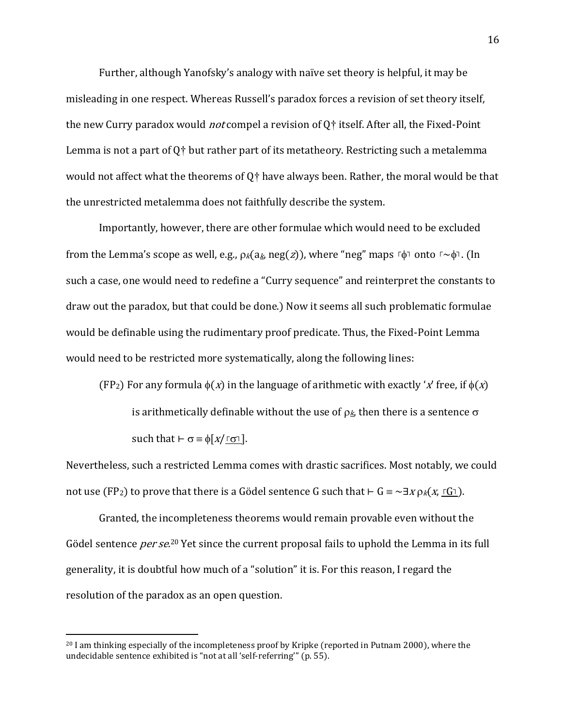Further, although Yanofsky's analogy with naïve set theory is helpful, it may be misleading in one respect. Whereas Russell's paradox forces a revision of set theory itself, the new Curry paradox would *not* compel a revision of  $Q<sub>T</sub>$  itself. After all, the Fixed-Point Lemma is not a part of  $Q^+$  but rather part of its metatheory. Restricting such a metalemma would not affect what the theorems of Q† have always been. Rather, the moral would be that the unrestricted metalemma does not faithfully describe the system.

Importantly, however, there are other formulae which would need to be excluded from the Lemma's scope as well, e.g.,  $\rho_k(a_k, neg(z))$ , where "neg" maps  $\lceil \phi \rceil$  onto  $\lceil \sim \phi \rceil$ . (In such a case, one would need to redefine a "Curry sequence" and reinterpret the constants to draw out the paradox, but that could be done.) Now it seems all such problematic formulae would be definable using the rudimentary proof predicate. Thus, the Fixed-Point Lemma would need to be restricted more systematically, along the following lines:

(FP<sub>2</sub>) For any formula  $\phi(x)$  in the language of arithmetic with exactly 'x' free, if  $\phi(x)$ is arithmetically definable without the use of  $\rho_k$ , then there is a sentence  $\sigma$ such that  $\vdash \sigma \equiv \phi[x/\underline{\ulcorner \sigma \urcorner}].$ 

Nevertheless, such a restricted Lemma comes with drastic sacrifices. Most notably, we could not use (FP<sub>2</sub>) to prove that there is a Gödel sentence G such that  $\vdash G \equiv \neg \exists x \rho_k(x, \ulcorner G \urcorner)$ .

Granted, the incompleteness theorems would remain provable even without the Gödel sentence *per se*.<sup>20</sup> Yet since the current proposal fails to uphold the Lemma in its full generality, it is doubtful how much of a "solution" it is. For this reason, I regard the resolution of the paradox as an open question.

<sup>&</sup>lt;sup>20</sup> I am thinking especially of the incompleteness proof by Kripke (reported in Putnam 2000), where the undecidable sentence exhibited is "not at all 'self-referring'" (p. 55).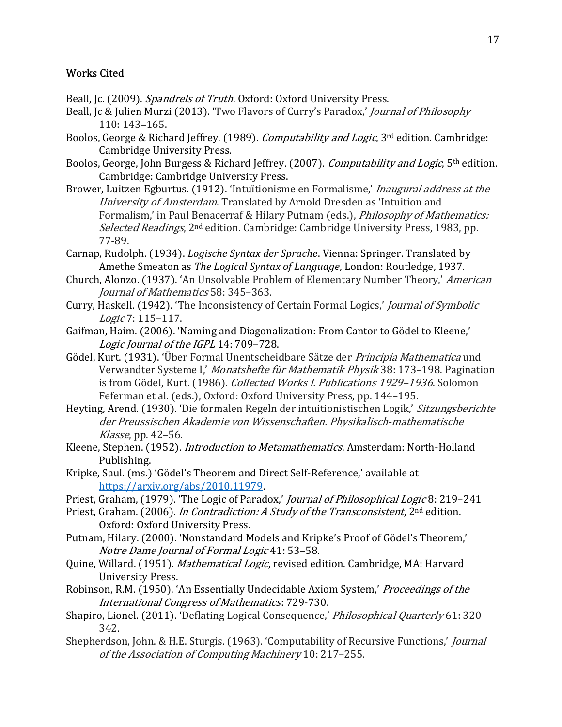# Works Cited

- Beall, Jc. (2009). Spandrels of Truth. Oxford: Oxford University Press.
- Beall, Jc & Julien Murzi (2013). 'Two Flavors of Curry's Paradox,' Journal of Philosophy 110: 143–165.
- Boolos, George & Richard Jeffrey. (1989). *Computability and Logic*, 3<sup>rd</sup> edition. Cambridge: Cambridge University Press.
- Boolos, George, John Burgess & Richard Jeffrey. (2007). *Computability and Logic*, 5<sup>th</sup> edition. Cambridge: Cambridge University Press.
- Brower, Luitzen Egburtus. (1912). 'Intuïtionisme en Formalisme,' Inaugural address at the University of Amsterdam. Translated by Arnold Dresden as 'Intuition and Formalism,' in Paul Benacerraf & Hilary Putnam (eds.), Philosophy of Mathematics: Selected Readings, 2<sup>nd</sup> edition. Cambridge: Cambridge University Press, 1983, pp. 77-89.
- Carnap, Rudolph. (1934). Logische Syntax der Sprache. Vienna: Springer. Translated by Amethe Smeaton as The Logical Syntax of Language, London: Routledge, 1937.
- Church, Alonzo. (1937). 'An Unsolvable Problem of Elementary Number Theory,' American Journal of Mathematics 58: 345–363.
- Curry, Haskell. (1942). 'The Inconsistency of Certain Formal Logics,' Journal of Symbolic Logic 7: 115–117.
- Gaifman, Haim. (2006). 'Naming and Diagonalization: From Cantor to Gödel to Kleene,' Logic Journal of the IGPL 14: 709–728.
- Gödel, Kurt. (1931). 'Über Formal Unentscheidbare Sätze der Principia Mathematica und Verwandter Systeme I,' Monatshefte für Mathematik Physik 38: 173–198. Pagination is from Gödel, Kurt. (1986). Collected Works I. Publications 1929-1936. Solomon Feferman et al. (eds.), Oxford: Oxford University Press, pp. 144–195.
- Heyting, Arend. (1930). 'Die formalen Regeln der intuitionistischen Logik,' Sitzungsberichte der Preussischen Akademie von Wissenschaften. Physikalisch-mathematische Klasse, pp. 42–56.
- Kleene, Stephen. (1952). Introduction to Metamathematics. Amsterdam: North-Holland Publishing.
- Kripke, Saul. (ms.) 'Gödel's Theorem and Direct Self-Reference,' available at https://arxiv.org/abs/2010.11979.
- Priest, Graham, (1979). 'The Logic of Paradox,' Journal of Philosophical Logic 8: 219-241
- Priest, Graham. (2006). In Contradiction: A Study of the Transconsistent, 2<sup>nd</sup> edition. Oxford: Oxford University Press.
- Putnam, Hilary. (2000). 'Nonstandard Models and Kripke's Proof of Gödel's Theorem,' Notre Dame Journal of Formal Logic 41: 53–58.
- Quine, Willard. (1951). Mathematical Logic, revised edition. Cambridge, MA: Harvard University Press.
- Robinson, R.M. (1950). 'An Essentially Undecidable Axiom System,' Proceedings of the International Congress of Mathematics: 729-730.
- Shapiro, Lionel. (2011). 'Deflating Logical Consequence,' Philosophical Quarterly 61: 320– 342.
- Shepherdson, John. & H.E. Sturgis. (1963). 'Computability of Recursive Functions,' *Journal* of the Association of Computing Machinery 10: 217–255.